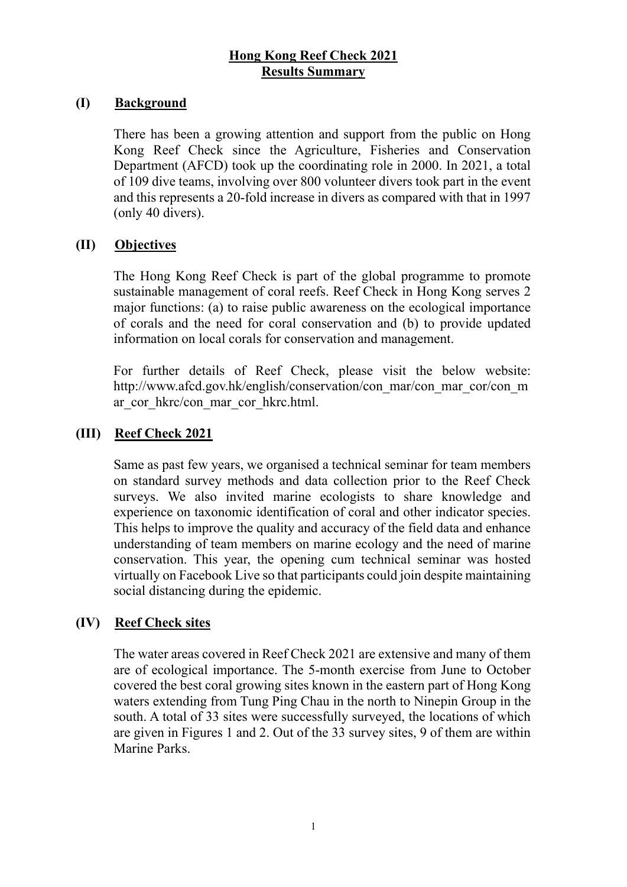### **Hong Kong Reef Check 2021 Results Summary**

#### **(I) Background**

There has been a growing attention and support from the public on Hong Kong Reef Check since the Agriculture, Fisheries and Conservation Department (AFCD) took up the coordinating role in 2000. In 2021, a total of 109 dive teams, involving over 800 volunteer divers took part in the event and this represents a 20-fold increase in divers as compared with that in 1997 (only 40 divers).

### **(II) Objectives**

The Hong Kong Reef Check is part of the global programme to promote sustainable management of coral reefs. Reef Check in Hong Kong serves 2 major functions: (a) to raise public awareness on the ecological importance of corals and the need for coral conservation and (b) to provide updated information on local corals for conservation and management.

For further details of Reef Check, please visit the below website: http://www.afcd.gov.hk/english/conservation/con\_mar/con\_mar\_cor/con\_m ar\_cor\_hkrc/con\_mar\_cor\_hkrc.html.

## **(III) Reef Check 2021**

Same as past few years, we organised a technical seminar for team members on standard survey methods and data collection prior to the Reef Check surveys. We also invited marine ecologists to share knowledge and experience on taxonomic identification of coral and other indicator species. This helps to improve the quality and accuracy of the field data and enhance understanding of team members on marine ecology and the need of marine conservation. This year, the opening cum technical seminar was hosted virtually on Facebook Live so that participants could join despite maintaining social distancing during the epidemic.

### **(IV) Reef Check sites**

The water areas covered in Reef Check 2021 are extensive and many of them are of ecological importance. The 5-month exercise from June to October covered the best coral growing sites known in the eastern part of Hong Kong waters extending from Tung Ping Chau in the north to Ninepin Group in the south. A total of 33 sites were successfully surveyed, the locations of which are given in Figures 1 and 2. Out of the 33 survey sites, 9 of them are within Marine Parks.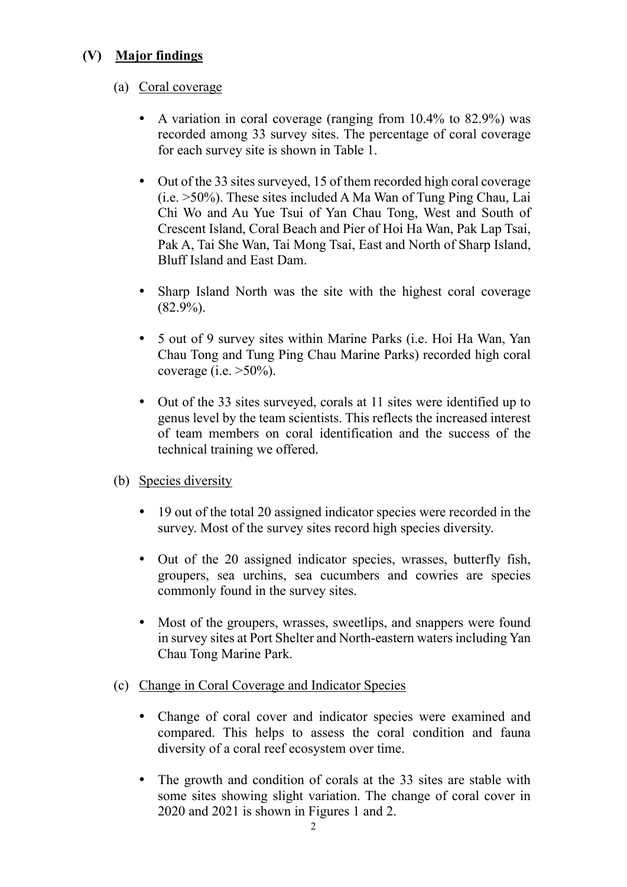# **(V) Major findings**

### (a) Coral coverage

- A variation in coral coverage (ranging from 10.4% to 82.9%) was recorded among 33 survey sites. The percentage of coral coverage for each survey site is shown in Table 1.
- Out of the 33 sites surveyed, 15 of them recorded high coral coverage (i.e. >50%). These sites included A Ma Wan of Tung Ping Chau, Lai Chi Wo and Au Yue Tsui of Yan Chau Tong, West and South of Crescent Island, Coral Beach and Pier of Hoi Ha Wan, Pak Lap Tsai, Pak A, Tai She Wan, Tai Mong Tsai, East and North of Sharp Island, Bluff Island and East Dam.
- Sharp Island North was the site with the highest coral coverage  $(82.9\%)$ .
- 5 out of 9 survey sites within Marine Parks (i.e. Hoi Ha Wan, Yan Chau Tong and Tung Ping Chau Marine Parks) recorded high coral coverage (i.e.  $>50\%$ ).
- Out of the 33 sites surveyed, corals at 11 sites were identified up to genus level by the team scientists. This reflects the increased interest of team members on coral identification and the success of the technical training we offered.
- (b) Species diversity
	- 19 out of the total 20 assigned indicator species were recorded in the survey. Most of the survey sites record high species diversity.
	- Out of the 20 assigned indicator species, wrasses, butterfly fish, groupers, sea urchins, sea cucumbers and cowries are species commonly found in the survey sites.
	- Most of the groupers, wrasses, sweetlips, and snappers were found in survey sites at Port Shelter and North-eastern waters including Yan Chau Tong Marine Park.
- (c) Change in Coral Coverage and Indicator Species
	- Change of coral cover and indicator species were examined and compared. This helps to assess the coral condition and fauna diversity of a coral reef ecosystem over time.
	- The growth and condition of corals at the 33 sites are stable with some sites showing slight variation. The change of coral cover in 2020 and 2021 is shown in Figures 1 and 2.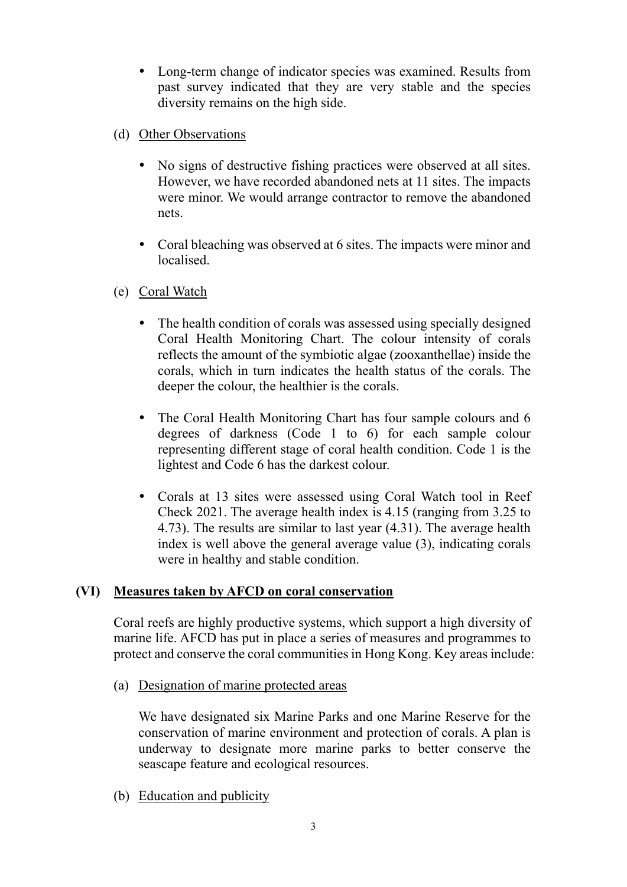- Long-term change of indicator species was examined. Results from past survey indicated that they are very stable and the species diversity remains on the high side.
- (d) Other Observations
	- No signs of destructive fishing practices were observed at all sites. However, we have recorded abandoned nets at 11 sites. The impacts were minor. We would arrange contractor to remove the abandoned nets.
	- Coral bleaching was observed at 6 sites. The impacts were minor and localised.
- (e) Coral Watch
	- The health condition of corals was assessed using specially designed Coral Health Monitoring Chart. The colour intensity of corals reflects the amount of the symbiotic algae (zooxanthellae) inside the corals, which in turn indicates the health status of the corals. The deeper the colour, the healthier is the corals.
	- The Coral Health Monitoring Chart has four sample colours and 6 degrees of darkness (Code 1 to 6) for each sample colour representing different stage of coral health condition. Code 1 is the lightest and Code 6 has the darkest colour.
	- Corals at 13 sites were assessed using Coral Watch tool in Reef Check 2021. The average health index is 4.15 (ranging from 3.25 to 4.73). The results are similar to last year (4.31). The average health index is well above the general average value (3), indicating corals were in healthy and stable condition.

# **(VI) Measures taken by AFCD on coral conservation**

Coral reefs are highly productive systems, which support a high diversity of marine life. AFCD has put in place a series of measures and programmes to protect and conserve the coral communities in Hong Kong. Key areas include:

(a) Designation of marine protected areas

We have designated six Marine Parks and one Marine Reserve for the conservation of marine environment and protection of corals. A plan is underway to designate more marine parks to better conserve the seascape feature and ecological resources.

(b) Education and publicity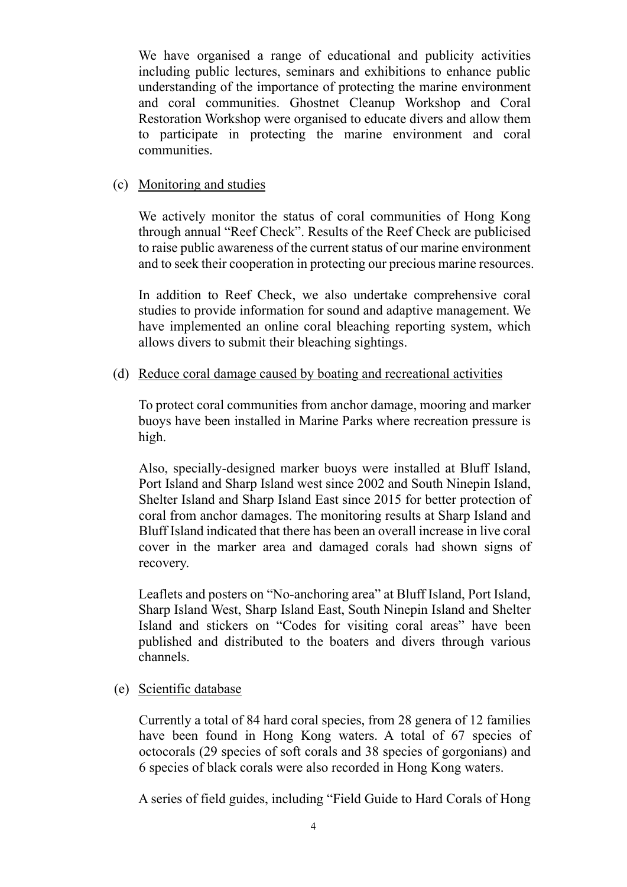We have organised a range of educational and publicity activities including public lectures, seminars and exhibitions to enhance public understanding of the importance of protecting the marine environment and coral communities. Ghostnet Cleanup Workshop and Coral Restoration Workshop were organised to educate divers and allow them to participate in protecting the marine environment and coral communities.

#### (c) Monitoring and studies

We actively monitor the status of coral communities of Hong Kong through annual "Reef Check". Results of the Reef Check are publicised to raise public awareness of the current status of our marine environment and to seek their cooperation in protecting our precious marine resources.

In addition to Reef Check, we also undertake comprehensive coral studies to provide information for sound and adaptive management. We have implemented an online coral bleaching reporting system, which allows divers to submit their bleaching sightings.

#### (d) Reduce coral damage caused by boating and recreational activities

To protect coral communities from anchor damage, mooring and marker buoys have been installed in Marine Parks where recreation pressure is high.

Also, specially-designed marker buoys were installed at Bluff Island, Port Island and Sharp Island west since 2002 and South Ninepin Island, Shelter Island and Sharp Island East since 2015 for better protection of coral from anchor damages. The monitoring results at Sharp Island and Bluff Island indicated that there has been an overall increase in live coral cover in the marker area and damaged corals had shown signs of recovery.

Leaflets and posters on "No-anchoring area" at Bluff Island, Port Island, Sharp Island West, Sharp Island East, South Ninepin Island and Shelter Island and stickers on "Codes for visiting coral areas" have been published and distributed to the boaters and divers through various channels.

### (e) Scientific database

Currently a total of 84 hard coral species, from 28 genera of 12 families have been found in Hong Kong waters. A total of 67 species of octocorals (29 species of soft corals and 38 species of gorgonians) and 6 species of black corals were also recorded in Hong Kong waters.

A series of field guides, including "Field Guide to Hard Corals of Hong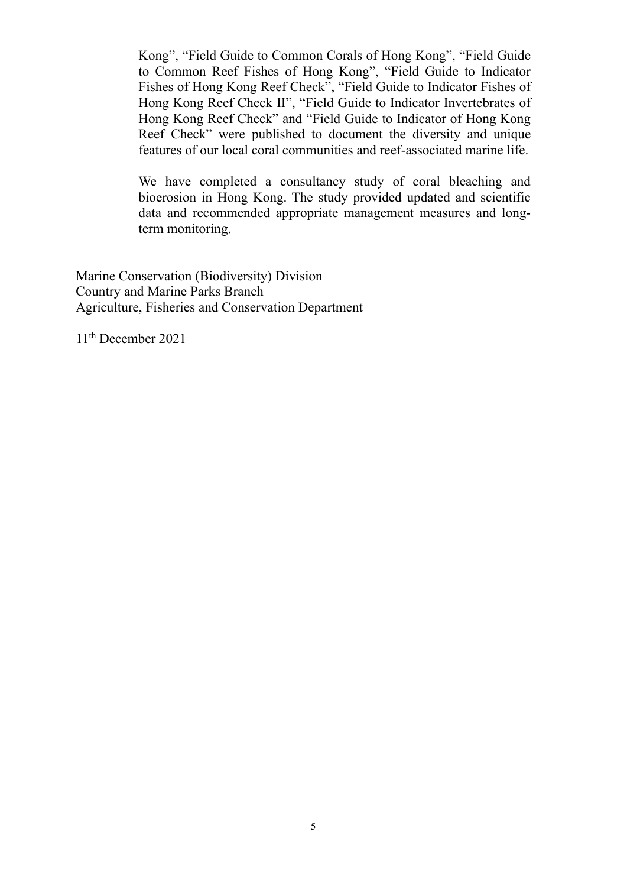Kong", "Field Guide to Common Corals of Hong Kong", "Field Guide to Common Reef Fishes of Hong Kong", "Field Guide to Indicator Fishes of Hong Kong Reef Check", "Field Guide to Indicator Fishes of Hong Kong Reef Check II", "Field Guide to Indicator Invertebrates of Hong Kong Reef Check" and "Field Guide to Indicator of Hong Kong Reef Check" were published to document the diversity and unique features of our local coral communities and reef-associated marine life.

We have completed a consultancy study of coral bleaching and bioerosion in Hong Kong. The study provided updated and scientific data and recommended appropriate management measures and longterm monitoring.

Marine Conservation (Biodiversity) Division Country and Marine Parks Branch Agriculture, Fisheries and Conservation Department

11th December 2021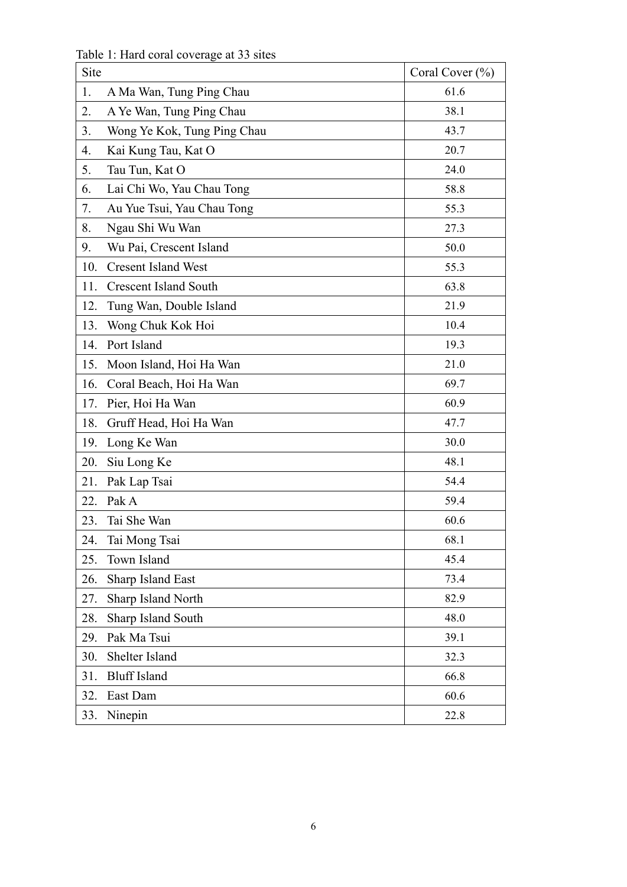Table 1: Hard coral coverage at 33 sites

| Site |                              | Coral Cover $(\% )$ |
|------|------------------------------|---------------------|
| 1.   | A Ma Wan, Tung Ping Chau     | 61.6                |
| 2.   | A Ye Wan, Tung Ping Chau     | 38.1                |
| 3.   | Wong Ye Kok, Tung Ping Chau  | 43.7                |
| 4.   | Kai Kung Tau, Kat O          | 20.7                |
| 5.   | Tau Tun, Kat O               | 24.0                |
| 6.   | Lai Chi Wo, Yau Chau Tong    | 58.8                |
| 7.   | Au Yue Tsui, Yau Chau Tong   | 55.3                |
| 8.   | Ngau Shi Wu Wan              | 27.3                |
| 9.   | Wu Pai, Crescent Island      | 50.0                |
| 10.  | <b>Cresent Island West</b>   | 55.3                |
| 11.  | <b>Crescent Island South</b> | 63.8                |
| 12.  | Tung Wan, Double Island      | 21.9                |
| 13.  | Wong Chuk Kok Hoi            | 10.4                |
| 14.  | Port Island                  | 19.3                |
| 15.  | Moon Island, Hoi Ha Wan      | 21.0                |
| 16.  | Coral Beach, Hoi Ha Wan      | 69.7                |
| 17.  | Pier, Hoi Ha Wan             | 60.9                |
| 18.  | Gruff Head, Hoi Ha Wan       | 47.7                |
| 19.  | Long Ke Wan                  | 30.0                |
| 20.  | Siu Long Ke                  | 48.1                |
| 21.  | Pak Lap Tsai                 | 54.4                |
| 22.  | Pak A                        | 59.4                |
| 23.  | Tai She Wan                  | 60.6                |
| 24.  | Tai Mong Tsai                | 68.1                |
| 25.  | Town Island                  | 45.4                |
| 26.  | Sharp Island East            | 73.4                |
| 27.  | Sharp Island North           | 82.9                |
| 28.  | Sharp Island South           | 48.0                |
| 29.  | Pak Ma Tsui                  | 39.1                |
| 30.  | Shelter Island               | 32.3                |
| 31.  | <b>Bluff Island</b>          | 66.8                |
| 32.  | East Dam                     | 60.6                |
| 33.  | Ninepin                      | 22.8                |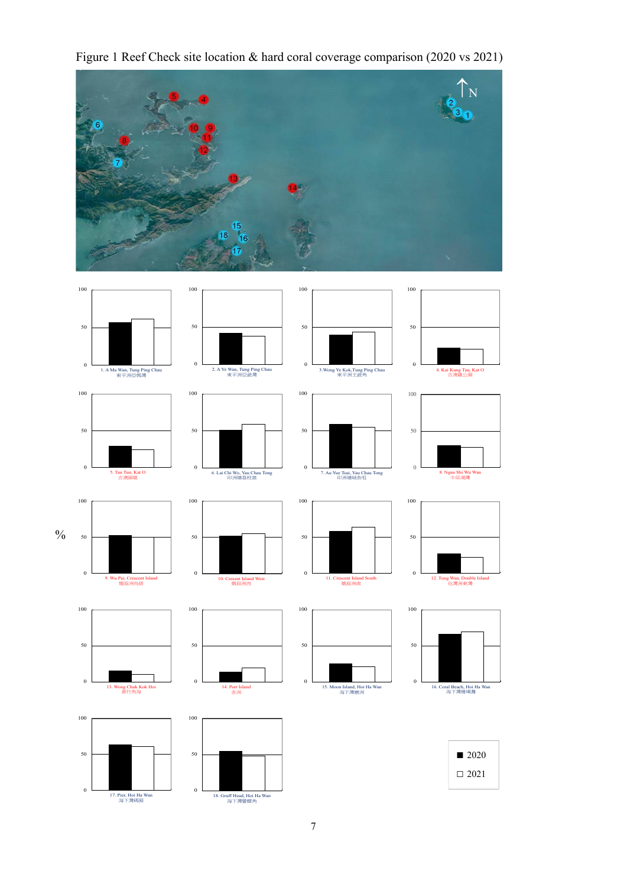